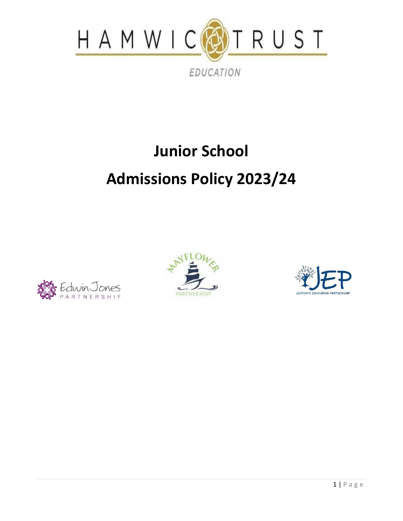

# **Junior School Admissions Policy 2023/24**





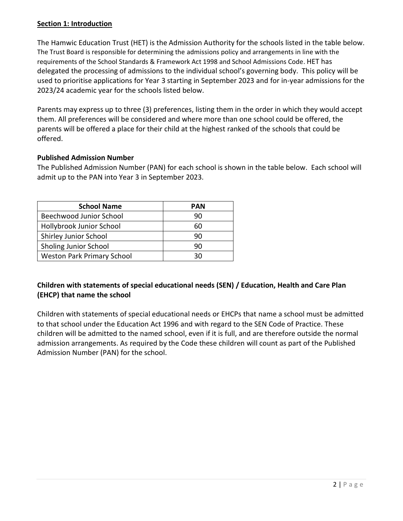# **Section 1: Introduction**

The Hamwic Education Trust (HET) is the Admission Authority for the schools listed in the table below. The Trust Board is responsible for determining the admissions policy and arrangements in line with the requirements of the School Standards & Framework Act 1998 and School Admissions Code. HET has delegated the processing of admissions to the individual school's governing body. This policy will be used to prioritise applications for Year 3 starting in September 2023 and for in-year admissions for the 2023/24 academic year for the schools listed below.

Parents may express up to three (3) preferences, listing them in the order in which they would accept them. All preferences will be considered and where more than one school could be offered, the parents will be offered a place for their child at the highest ranked of the schools that could be offered.

## **Published Admission Number**

The Published Admission Number (PAN) for each school is shown in the table below. Each school will admit up to the PAN into Year 3 in September 2023.

| <b>School Name</b>                | <b>PAN</b> |
|-----------------------------------|------------|
| Beechwood Junior School           | 90         |
| Hollybrook Junior School          | 60         |
| Shirley Junior School             | 90         |
| Sholing Junior School             | 90         |
| <b>Weston Park Primary School</b> | จด         |

# **Children with statements of special educational needs (SEN) / Education, Health and Care Plan (EHCP) that name the school**

Children with statements of special educational needs or EHCPs that name a school must be admitted to that school under the Education Act 1996 and with regard to the SEN Code of Practice. These children will be admitted to the named school, even if it is full, and are therefore outside the normal admission arrangements. As required by the Code these children will count as part of the Published Admission Number (PAN) for the school.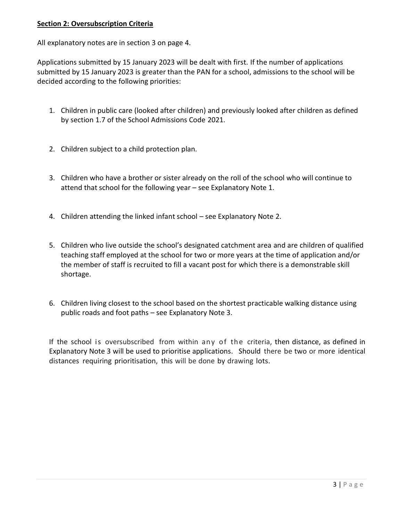## **Section 2: Oversubscription Criteria**

All explanatory notes are in section 3 on page 4.

Applications submitted by 15 January 2023 will be dealt with first. If the number of applications submitted by 15 January 2023 is greater than the PAN for a school, admissions to the school will be decided according to the following priorities:

- 1. Children in public care (looked after children) and previously looked after children as defined by section 1.7 of the School Admissions Code 2021.
- 2. Children subject to a child protection plan.
- 3. Children who have a brother or sister already on the roll of the school who will continue to attend that school for the following year – see Explanatory Note 1.
- 4. Children attending the linked infant school see Explanatory Note 2.
- 5. Children who live outside the school's designated catchment area and are children of qualified teaching staff employed at the school for two or more years at the time of application and/or the member of staff is recruited to fill a vacant post for which there is a demonstrable skill shortage.
- 6. Children living closest to the school based on the shortest practicable walking distance using public roads and foot paths – see Explanatory Note 3.

If the school is oversubscribed from within any of the criteria, then distance, as defined in Explanatory Note 3 will be used to prioritise applications. Should there be two or more identical distances requiring prioritisation, this will be done by drawing lots.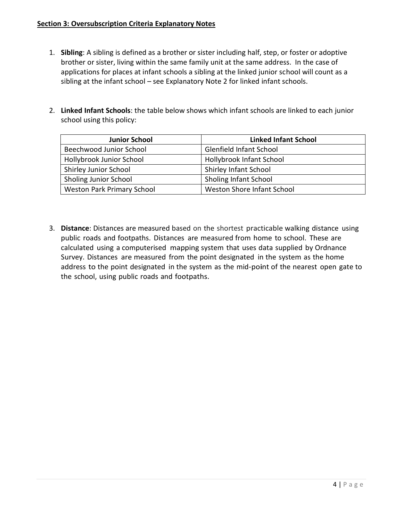#### **Section 3: Oversubscription Criteria Explanatory Notes**

- 1. **Sibling**: A sibling is defined as a brother or sister including half, step, or foster or adoptive brother or sister, living within the same family unit at the same address. In the case of applications for places at infant schools a sibling at the linked junior school will count as a sibling at the infant school – see Explanatory Note 2 for linked infant schools.
- 2. **Linked Infant Schools**: the table below shows which infant schools are linked to each junior school using this policy:

| <b>Junior School</b>              | <b>Linked Infant School</b>    |
|-----------------------------------|--------------------------------|
| Beechwood Junior School           | <b>Glenfield Infant School</b> |
| Hollybrook Junior School          | Hollybrook Infant School       |
| <b>Shirley Junior School</b>      | <b>Shirley Infant School</b>   |
| Sholing Junior School             | Sholing Infant School          |
| <b>Weston Park Primary School</b> | Weston Shore Infant School     |

3. **Distance**: Distances are measured based on the shortest practicable walking distance using public roads and footpaths. Distances are measured from home to school. These are calculated using a computerised mapping system that uses data supplied by Ordnance Survey. Distances are measured from the point designated in the system as the home address to the point designated in the system as the mid-point of the nearest open gate to the school, using public roads and footpaths.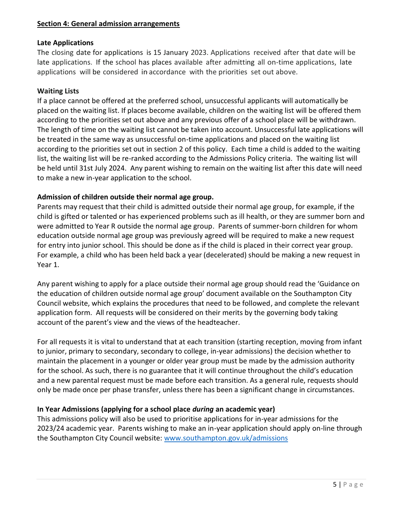#### **Section 4: General admission arrangements**

#### **Late Applications**

The closing date for applications is 15 January 2023. Applications received after that date will be late applications. If the school has places available after admitting all on-time applications, late applications will be considered in·accordance with the priorities set out above.

#### **Waiting Lists**

If a place cannot be offered at the preferred school, unsuccessful applicants will automatically be placed on the waiting list. If places become available, children on the waiting list will be offered them according to the priorities set out above and any previous offer of a school place will be withdrawn. The length of time on the waiting list cannot be taken into account. Unsuccessful late applications will be treated in the same way as unsuccessful on-time applications and placed on the waiting list according to the priorities set out in section 2 of this policy. Each time a child is added to the waiting list, the waiting list will be re-ranked according to the Admissions Policy criteria. The waiting list will be held until 31st July 2024. Any parent wishing to remain on the waiting list after this date will need to make a new in-year application to the school.

#### **Admission of children outside their normal age group.**

Parents may request that their child is admitted outside their normal age group, for example, if the child is gifted or talented or has experienced problems such as ill health, or they are summer born and were admitted to Year R outside the normal age group. Parents of summer-born children for whom education outside normal age group was previously agreed will be required to make a new request for entry into junior school. This should be done as if the child is placed in their correct year group. For example, a child who has been held back a year (decelerated) should be making a new request in Year 1.

Any parent wishing to apply for a place outside their normal age group should read the 'Guidance on the education of children outside normal age group' document available on the Southampton City Council website, which explains the procedures that need to be followed, and complete the relevant application form. All requests will be considered on their merits by the governing body taking account of the parent's view and the views of the headteacher.

For all requests it is vital to understand that at each transition (starting reception, moving from infant to junior, primary to secondary, secondary to college, in-year admissions) the decision whether to maintain the placement in a younger or older year group must be made by the admission authority for the school. As such, there is no guarantee that it will continue throughout the child's education and a new parental request must be made before each transition. As a general rule, requests should only be made once per phase transfer, unless there has been a significant change in circumstances.

#### **In Year Admissions (applying for a school place** *during* **an academic year)**

This admissions policy will also be used to prioritise applications for in-year admissions for the 2023/24 academic year. Parents wishing to make an in-year application should apply on-line through the Southampton City Council website: [www.southampton.gov.uk/admissions](http://www.southampton.gov.uk/admissions)